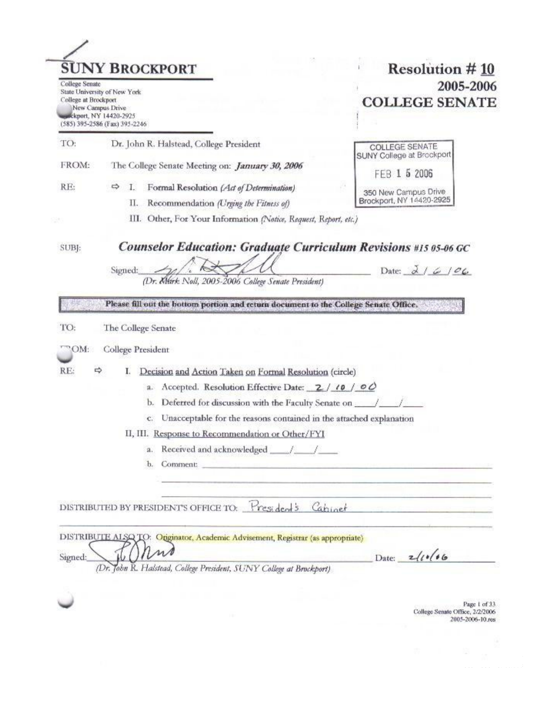| College Senate<br>College at Brockport | <b>SUNY BROCKPORT</b><br>State University of New York<br>New Campus Drive                                                                                                                                                            | <b>Resolution #10</b><br>2005-2006<br><b>COLLEGE SENATE</b> |
|----------------------------------------|--------------------------------------------------------------------------------------------------------------------------------------------------------------------------------------------------------------------------------------|-------------------------------------------------------------|
|                                        | exckport, NY 14420-2925<br>(585) 395-2586 (Fax) 395-2246                                                                                                                                                                             |                                                             |
| TO:                                    | Dr. John R. Halstead, College President                                                                                                                                                                                              | COLLEGE SENATE                                              |
| FROM:                                  | The College Senate Meeting on: <i>January 30, 2006</i>                                                                                                                                                                               | SUNY College at Brockport<br>5 2006<br>FFB.                 |
| RE:                                    | Formal Resolution (Act of Determination)<br>⇨<br>L                                                                                                                                                                                   | 350 New Campus Drive                                        |
|                                        | П.<br>Recommendation (Urging the Fitness of)                                                                                                                                                                                         | Brockport, NY 14420-2925                                    |
|                                        | III. Other, For Your Information (Notice, Request, Report, etc.)                                                                                                                                                                     |                                                             |
|                                        |                                                                                                                                                                                                                                      |                                                             |
|                                        | (Dr. Klárk Noll, 2005-2006 College Senate President)                                                                                                                                                                                 |                                                             |
|                                        | Please fill out the bottom portion and return document to the College Senate Office.<br>The College Senate                                                                                                                           |                                                             |
| "OM:                                   |                                                                                                                                                                                                                                      |                                                             |
|                                        | College President                                                                                                                                                                                                                    |                                                             |
| RE:                                    | Decision and Action Taken on Formal Resolution (circle)<br>I.<br>я.                                                                                                                                                                  |                                                             |
|                                        | Accepted. Resolution Effective Date: 2/10/00<br>Deferred for discussion with the Faculty Senate on ___<br>b.                                                                                                                         |                                                             |
|                                        | Unacceptable for the reasons contained in the attached explanation<br>$C$ .                                                                                                                                                          |                                                             |
|                                        | II, III. Response to Recommendation or Other/FYI                                                                                                                                                                                     |                                                             |
|                                        | я.                                                                                                                                                                                                                                   |                                                             |
|                                        | Comment: the comment of the comment of the comment of the comment of the comment of the comment of the comment of the comment of the comment of the comment of the comment of the comment of the comment of the comment of the<br>b. |                                                             |
| TO:                                    | DISTRIBUTED BY PRESIDENT'S OFFICE TO: President's Cabinet                                                                                                                                                                            |                                                             |
|                                        | DISTRIBUTE ALSQ TO: Originator, Academic Advisement, Registrar (as appropriate)                                                                                                                                                      |                                                             |

College Senate Office, 2/2/2006 2005-2006-10.res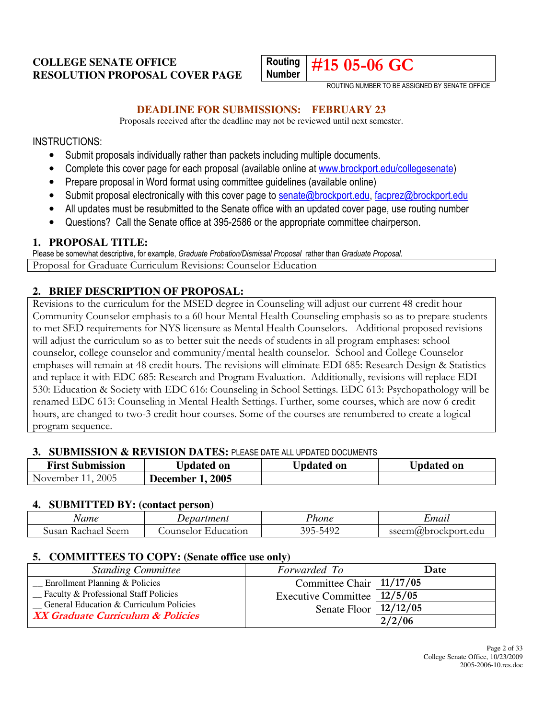# **COLLEGE SENATE OFFICE RESOLUTION PROPOSAL COVER PAGE**



ROUTING NUMBER TO BE ASSIGNED BY SENATE OFFICE

#### **DEADLINE FOR SUBMISSIONS: FEBRUARY 23**

Proposals received after the deadline may not be reviewed until next semester.

INSTRUCTIONS:

- Submit proposals individually rather than packets including multiple documents.
- Complete this cover page for each proposal (available online at www.brockport.edu/collegesenate)
- Prepare proposal in Word format using committee guidelines (available online)
- Submit proposal electronically with this cover page to senate@brockport.edu, facprez@brockport.edu
- All updates must be resubmitted to the Senate office with an updated cover page, use routing number
- Questions? Call the Senate office at 395-2586 or the appropriate committee chairperson.

#### **1. PROPOSAL TITLE:**

Please be somewhat descriptive, for example, Graduate Probation/Dismissal Proposal rather than Graduate Proposal. Proposal for Graduate Curriculum Revisions: Counselor Education

#### **2. BRIEF DESCRIPTION OF PROPOSAL:**

Revisions to the curriculum for the MSED degree in Counseling will adjust our current 48 credit hour Community Counselor emphasis to a 60 hour Mental Health Counseling emphasis so as to prepare students to met SED requirements for NYS licensure as Mental Health Counselors. Additional proposed revisions will adjust the curriculum so as to better suit the needs of students in all program emphases: school counselor, college counselor and community/mental health counselor. School and College Counselor emphases will remain at 48 credit hours. The revisions will eliminate EDI 685: Research Design & Statistics and replace it with EDC 685: Research and Program Evaluation. Additionally, revisions will replace EDI 530: Education & Society with EDC 616: Counseling in School Settings. EDC 613: Psychopathology will be renamed EDC 613: Counseling in Mental Health Settings. Further, some courses, which are now 6 credit hours, are changed to two-3 credit hour courses. Some of the courses are renumbered to create a logical program sequence.

#### **3. SUBMISSION & REVISION DATES:** PLEASE DATE ALL UPDATED DOCUMENTS

| <b>First Submission</b> | <b>Updated on</b>       | <b>Updated on</b> | <b>Updated on</b> |
|-------------------------|-------------------------|-------------------|-------------------|
| November 11, 2005       | <b>December 1, 2005</b> |                   |                   |

#### **4. SUBMITTED BY: (contact person)**

| Name                     | Department            | 'hone        | ±maıl                         |
|--------------------------|-----------------------|--------------|-------------------------------|
| dusan<br>Seem<br>Kachael | Education<br>ounselor | 305<br>-5492 | sseem $(a)$<br>2brockport.edu |

#### **5. COMMITTEES TO COPY: (Senate office use only)**

| <b>Standing Committee</b>               | Forwarded To                  | Date   |
|-----------------------------------------|-------------------------------|--------|
| Enrollment Planning & Policies          | Committee Chair   11/17/05    |        |
| - Faculty & Professional Staff Policies | Executive Committee   12/5/05 |        |
| General Education & Curriculum Policies | Senate Floor $\vert$ 12/12/05 |        |
| XX Graduate Curriculum & Policies       |                               | 2/2/06 |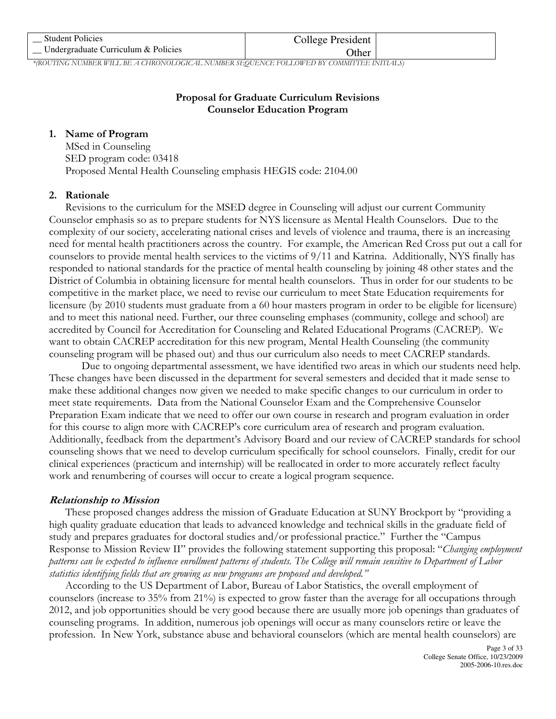| <b>Student Policies</b>                                                                        | College President |  |
|------------------------------------------------------------------------------------------------|-------------------|--|
| Undergraduate Curriculum & Policies                                                            | <b>Other</b>      |  |
| JOOUTH LOATH (BED WILL BE JOURNALIST COLOUR AUDIOED CEOUTALOR FOLL OWER BY COLOUTHER BUTLE ALC |                   |  |

\*(ROUTING NUMBER WILL BE A CHRONOLOGICAL NUMBER SEQUENCE FOLLOWED BY COMMITTEE INITIALS)

# Proposal for Graduate Curriculum Revisions Counselor Education Program

#### 1. Name of Program

MSed in Counseling SED program code: 03418 Proposed Mental Health Counseling emphasis HEGIS code: 2104.00

#### 2. Rationale

Revisions to the curriculum for the MSED degree in Counseling will adjust our current Community Counselor emphasis so as to prepare students for NYS licensure as Mental Health Counselors. Due to the complexity of our society, accelerating national crises and levels of violence and trauma, there is an increasing need for mental health practitioners across the country. For example, the American Red Cross put out a call for counselors to provide mental health services to the victims of 9/11 and Katrina. Additionally, NYS finally has responded to national standards for the practice of mental health counseling by joining 48 other states and the District of Columbia in obtaining licensure for mental health counselors. Thus in order for our students to be competitive in the market place, we need to revise our curriculum to meet State Education requirements for licensure (by 2010 students must graduate from a 60 hour masters program in order to be eligible for licensure) and to meet this national need. Further, our three counseling emphases (community, college and school) are accredited by Council for Accreditation for Counseling and Related Educational Programs (CACREP). We want to obtain CACREP accreditation for this new program, Mental Health Counseling (the community counseling program will be phased out) and thus our curriculum also needs to meet CACREP standards.

Due to ongoing departmental assessment, we have identified two areas in which our students need help. These changes have been discussed in the department for several semesters and decided that it made sense to make these additional changes now given we needed to make specific changes to our curriculum in order to meet state requirements. Data from the National Counselor Exam and the Comprehensive Counselor Preparation Exam indicate that we need to offer our own course in research and program evaluation in order for this course to align more with CACREP's core curriculum area of research and program evaluation. Additionally, feedback from the department's Advisory Board and our review of CACREP standards for school counseling shows that we need to develop curriculum specifically for school counselors. Finally, credit for our clinical experiences (practicum and internship) will be reallocated in order to more accurately reflect faculty work and renumbering of courses will occur to create a logical program sequence.

# Relationship to Mission

These proposed changes address the mission of Graduate Education at SUNY Brockport by "providing a high quality graduate education that leads to advanced knowledge and technical skills in the graduate field of study and prepares graduates for doctoral studies and/or professional practice." Further the "Campus Response to Mission Review II" provides the following statement supporting this proposal: "Changing employment patterns can be expected to influence enrollment patterns of students. The College will remain sensitive to Department of Labor statistics identifying fields that are growing as new programs are proposed and developed."

According to the US Department of Labor, Bureau of Labor Statistics, the overall employment of counselors (increase to 35% from 21%) is expected to grow faster than the average for all occupations through 2012, and job opportunities should be very good because there are usually more job openings than graduates of counseling programs. In addition, numerous job openings will occur as many counselors retire or leave the profession. In New York, substance abuse and behavioral counselors (which are mental health counselors) are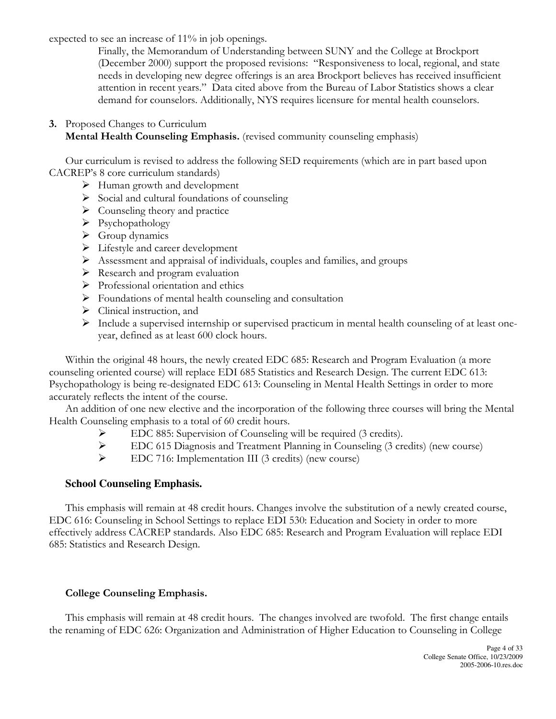expected to see an increase of 11% in job openings.

Finally, the Memorandum of Understanding between SUNY and the College at Brockport (December 2000) support the proposed revisions: "Responsiveness to local, regional, and state needs in developing new degree offerings is an area Brockport believes has received insufficient attention in recent years." Data cited above from the Bureau of Labor Statistics shows a clear demand for counselors. Additionally, NYS requires licensure for mental health counselors.

#### 3. Proposed Changes to Curriculum Mental Health Counseling Emphasis. (revised community counseling emphasis)

Our curriculum is revised to address the following SED requirements (which are in part based upon CACREP's 8 core curriculum standards)

- Human growth and development
- $\triangleright$  Social and cultural foundations of counseling
- $\triangleright$  Counseling theory and practice
- $\triangleright$  Psychopathology
- $\triangleright$  Group dynamics
- $\triangleright$  Lifestyle and career development
- Assessment and appraisal of individuals, couples and families, and groups
- $\triangleright$  Research and program evaluation
- $\triangleright$  Professional orientation and ethics
- $\triangleright$  Foundations of mental health counseling and consultation
- $\triangleright$  Clinical instruction, and
- $\triangleright$  Include a supervised internship or supervised practicum in mental health counseling of at least oneyear, defined as at least 600 clock hours.

Within the original 48 hours, the newly created EDC 685: Research and Program Evaluation (a more counseling oriented course) will replace EDI 685 Statistics and Research Design. The current EDC 613: Psychopathology is being re-designated EDC 613: Counseling in Mental Health Settings in order to more accurately reflects the intent of the course.

An addition of one new elective and the incorporation of the following three courses will bring the Mental Health Counseling emphasis to a total of 60 credit hours.

- EDC 885: Supervision of Counseling will be required (3 credits).
- EDC 615 Diagnosis and Treatment Planning in Counseling (3 credits) (new course)<br>
EDC 716: Implementation III (3 credits) (new course)
- EDC 716: Implementation III (3 credits) (new course)

#### **School Counseling Emphasis.**

This emphasis will remain at 48 credit hours. Changes involve the substitution of a newly created course, EDC 616: Counseling in School Settings to replace EDI 530: Education and Society in order to more effectively address CACREP standards. Also EDC 685: Research and Program Evaluation will replace EDI 685: Statistics and Research Design.

#### College Counseling Emphasis.

This emphasis will remain at 48 credit hours. The changes involved are twofold. The first change entails the renaming of EDC 626: Organization and Administration of Higher Education to Counseling in College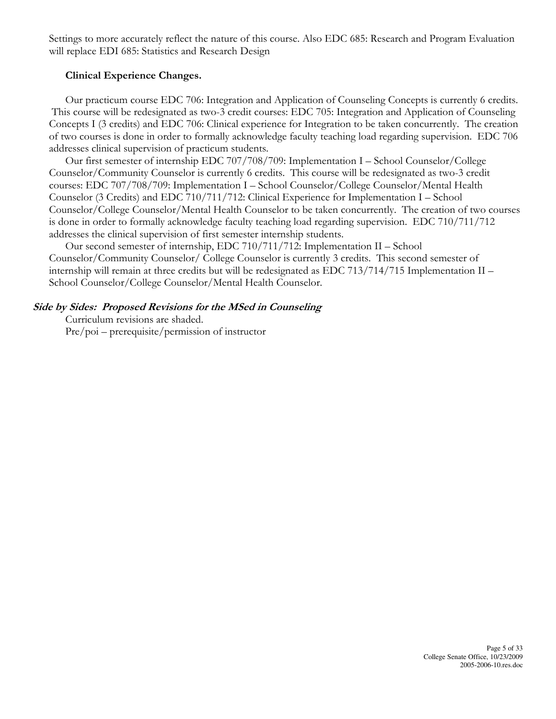Settings to more accurately reflect the nature of this course. Also EDC 685: Research and Program Evaluation will replace EDI 685: Statistics and Research Design

#### Clinical Experience Changes.

Our practicum course EDC 706: Integration and Application of Counseling Concepts is currently 6 credits. This course will be redesignated as two-3 credit courses: EDC 705: Integration and Application of Counseling Concepts I (3 credits) and EDC 706: Clinical experience for Integration to be taken concurrently. The creation of two courses is done in order to formally acknowledge faculty teaching load regarding supervision. EDC 706 addresses clinical supervision of practicum students.

Our first semester of internship EDC 707/708/709: Implementation I – School Counselor/College Counselor/Community Counselor is currently 6 credits. This course will be redesignated as two-3 credit courses: EDC 707/708/709: Implementation I – School Counselor/College Counselor/Mental Health Counselor (3 Credits) and EDC 710/711/712: Clinical Experience for Implementation I – School Counselor/College Counselor/Mental Health Counselor to be taken concurrently. The creation of two courses is done in order to formally acknowledge faculty teaching load regarding supervision. EDC 710/711/712 addresses the clinical supervision of first semester internship students.

Our second semester of internship, EDC 710/711/712: Implementation II – School Counselor/Community Counselor/ College Counselor is currently 3 credits. This second semester of internship will remain at three credits but will be redesignated as EDC 713/714/715 Implementation II – School Counselor/College Counselor/Mental Health Counselor.

# Side by Sides: Proposed Revisions for the MSed in Counseling

Curriculum revisions are shaded.

Pre/poi – prerequisite/permission of instructor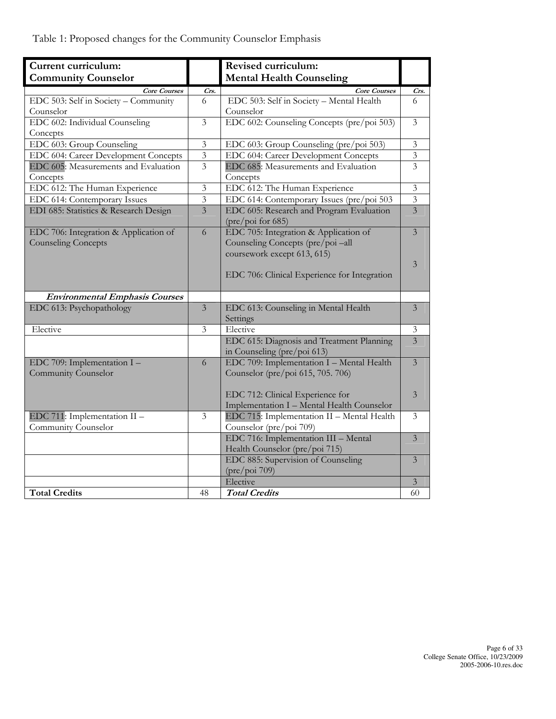Table 1: Proposed changes for the Community Counselor Emphasis

| Current curriculum:                   |                         | Revised curriculum:                          |                         |
|---------------------------------------|-------------------------|----------------------------------------------|-------------------------|
| <b>Community Counselor</b>            |                         | <b>Mental Health Counseling</b>              |                         |
| <b>Core Courses</b>                   | Crs.                    | <b>Core Courses</b>                          | Crs.                    |
| EDC 503: Self in Society - Community  | 6                       | EDC 503: Self in Society - Mental Health     | 6                       |
| Counselor                             |                         | Counselor                                    |                         |
| EDC 602: Individual Counseling        | $\overline{\mathbf{3}}$ | EDC 602: Counseling Concepts (pre/poi 503)   | 3                       |
| Concepts                              |                         |                                              |                         |
| EDC 603: Group Counseling             | $\overline{\mathbf{3}}$ | EDC 603: Group Counseling (pre/poi 503)      | $\mathfrak{Z}$          |
| EDC 604: Career Development Concepts  | $\overline{3}$          | EDC 604: Career Development Concepts         | $\overline{\mathbf{3}}$ |
| EDC 605: Measurements and Evaluation  | $\overline{3}$          | EDC 685: Measurements and Evaluation         | $\overline{3}$          |
| Concepts                              |                         | Concepts                                     |                         |
| EDC 612: The Human Experience         | $\mathfrak{Z}$          | EDC 612: The Human Experience                | $\mathfrak{Z}$          |
| EDC 614: Contemporary Issues          | $\overline{\mathbf{3}}$ | EDC 614: Contemporary Issues (pre/poi 503    | 3                       |
| EDI 685: Statistics & Research Design | $\overline{3}$          | EDC 605: Research and Program Evaluation     | $\overline{3}$          |
|                                       |                         | (pre/poi for 685)                            |                         |
| EDC 706: Integration & Application of | 6                       | EDC 705: Integration & Application of        | 3                       |
| <b>Counseling Concepts</b>            |                         | Counseling Concepts (pre/poi-all             |                         |
|                                       |                         | coursework except 613, 615)                  |                         |
|                                       |                         |                                              | 3                       |
|                                       |                         | EDC 706: Clinical Experience for Integration |                         |
|                                       |                         |                                              |                         |
| <b>Environmental Emphasis Courses</b> |                         |                                              |                         |
| EDC 613: Psychopathology              | $\overline{\mathbf{3}}$ | EDC 613: Counseling in Mental Health         | $\overline{3}$          |
|                                       |                         | Settings                                     |                         |
| Elective                              | 3                       | Elective                                     | 3                       |
|                                       |                         | EDC 615: Diagnosis and Treatment Planning    | $\overline{3}$          |
|                                       |                         | in Counseling (pre/poi 613)                  |                         |
| EDC 709: Implementation I -           | 6                       | EDC 709: Implementation I - Mental Health    | $\overline{3}$          |
| Community Counselor                   |                         | Counselor (pre/poi 615, 705. 706)            |                         |
|                                       |                         |                                              |                         |
|                                       |                         | EDC 712: Clinical Experience for             | 3                       |
|                                       |                         | Implementation I - Mental Health Counselor   |                         |
| EDC 711: Implementation II -          | 3                       | EDC 715: Implementation II - Mental Health   | 3                       |
| Community Counselor                   |                         | Counselor (pre/poi 709)                      |                         |
|                                       |                         | EDC 716: Implementation III - Mental         | 3                       |
|                                       |                         | Health Counselor (pre/poi 715)               |                         |
|                                       |                         | EDC 885: Supervision of Counseling           | 3                       |
|                                       |                         | (pre/poi 709)                                |                         |
|                                       |                         | Elective                                     | $\mathfrak{Z}$          |
| <b>Total Credits</b>                  | 48                      | <b>Total Credits</b>                         | 60                      |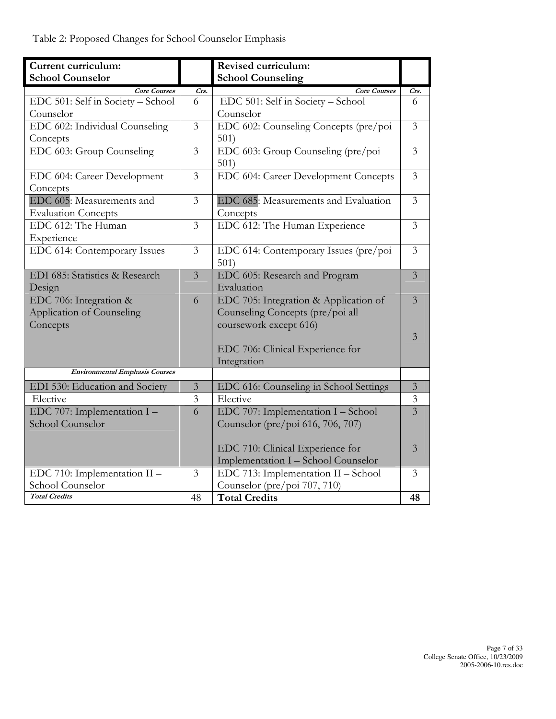| Current curriculum:                     |                | Revised curriculum:                           |                |
|-----------------------------------------|----------------|-----------------------------------------------|----------------|
| <b>School Counselor</b>                 |                | <b>School Counseling</b>                      |                |
| <b>Core Courses</b>                     | Crs.           | <b>Core Courses</b>                           | Crs.           |
| EDC 501: Self in Society - School       | 6              | EDC 501: Self in Society - School             | 6              |
| Counselor                               |                | Counselor                                     |                |
| EDC 602: Individual Counseling          | $\overline{3}$ | EDC 602: Counseling Concepts (pre/poi         | $\overline{3}$ |
| Concepts                                |                | 501)                                          |                |
| EDC 603: Group Counseling               | $\overline{3}$ | EDC 603: Group Counseling (pre/poi<br>501)    | $\overline{3}$ |
| EDC 604: Career Development<br>Concepts | $\overline{3}$ | EDC 604: Career Development Concepts          | 3              |
| EDC 605: Measurements and               | 3              | EDC 685: Measurements and Evaluation          | 3              |
| <b>Evaluation Concepts</b>              |                | Concepts                                      |                |
| EDC 612: The Human                      | $\overline{3}$ | EDC 612: The Human Experience                 | $\overline{3}$ |
| Experience                              |                |                                               |                |
| EDC 614: Contemporary Issues            | 3              | EDC 614: Contemporary Issues (pre/poi<br>501) | $\mathfrak{Z}$ |
| EDI 685: Statistics & Research          | $\overline{3}$ | EDC 605: Research and Program                 | $\overline{3}$ |
| Design                                  |                | Evaluation                                    |                |
| EDC 706: Integration &                  | 6              | EDC 705: Integration & Application of         | $\overline{3}$ |
| Application of Counseling               |                | Counseling Concepts (pre/poi all              |                |
| Concepts                                |                | coursework except 616)                        |                |
|                                         |                |                                               | 3              |
|                                         |                | EDC 706: Clinical Experience for              |                |
|                                         |                | Integration                                   |                |
| <b>Environmental Emphasis Courses</b>   |                |                                               |                |
| EDI 530: Education and Society          | $\mathfrak{Z}$ | EDC 616: Counseling in School Settings        | $\mathfrak{Z}$ |
| Elective                                | 3              | Elective                                      | $\overline{3}$ |
| EDC 707: Implementation I -             | 6              | EDC 707: Implementation I - School            | $\overline{3}$ |
| School Counselor                        |                | Counselor (pre/poi 616, 706, 707)             |                |
|                                         |                |                                               |                |
|                                         |                | EDC 710: Clinical Experience for              | 3              |
|                                         |                | Implementation I - School Counselor           |                |
| EDC 710: Implementation II -            | 3              | EDC 713: Implementation II - School           | $\overline{3}$ |
| School Counselor                        |                | Counselor (pre/poi 707, 710)                  |                |
| <b>Total Credits</b>                    | 48             | <b>Total Credits</b>                          | 48             |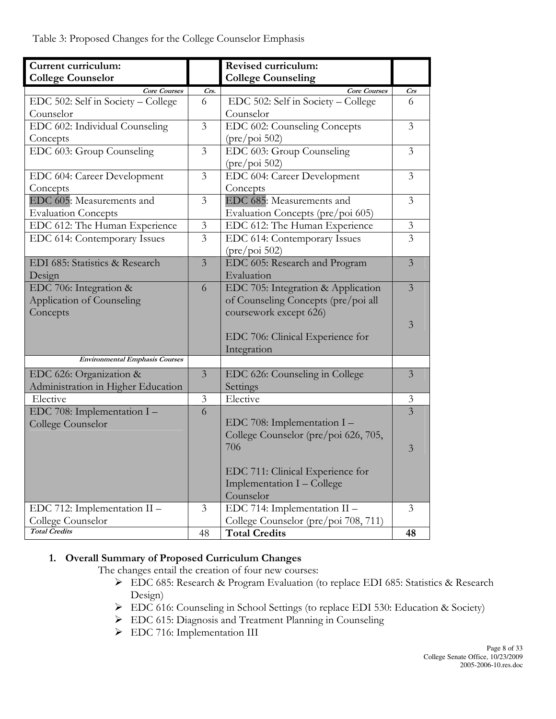| Current curriculum:                   |                | <b>Revised curriculum:</b>           |                |
|---------------------------------------|----------------|--------------------------------------|----------------|
| <b>College Counselor</b>              |                | <b>College Counseling</b>            |                |
| <b>Core Courses</b>                   | Crs.           | <b>Core Courses</b>                  | <b>Crs</b>     |
| EDC 502: Self in Society - College    | 6              | EDC 502: Self in Society - College   | 6              |
| Counselor                             |                | Counselor                            |                |
| EDC 602: Individual Counseling        | 3              | EDC 602: Counseling Concepts         | 3              |
| Concepts                              |                | $(\text{pre}/\text{poi } 502)$       |                |
| EDC 603: Group Counseling             | $\overline{3}$ | EDC 603: Group Counseling            | $\overline{3}$ |
|                                       |                | $(\text{pre}/\text{poi } 502)$       |                |
| EDC 604: Career Development           | 3              | EDC 604: Career Development          | $\overline{3}$ |
| Concepts                              |                | Concepts                             |                |
| EDC 605: Measurements and             | $\overline{3}$ | EDC 685: Measurements and            | $\overline{3}$ |
| <b>Evaluation Concepts</b>            |                | Evaluation Concepts (pre/poi 605)    |                |
| EDC 612: The Human Experience         | $\mathfrak{Z}$ | EDC 612: The Human Experience        | $\mathfrak{Z}$ |
| EDC 614: Contemporary Issues          | $\overline{3}$ | EDC 614: Contemporary Issues         | $\overline{3}$ |
|                                       |                | $(\text{pre}/\text{poi } 502)$       |                |
| EDI 685: Statistics & Research        | $\overline{3}$ | EDC 605: Research and Program        | $\overline{3}$ |
| Design                                |                | Evaluation                           |                |
| EDC 706: Integration &                | 6              | EDC 705: Integration & Application   | $\overline{3}$ |
| Application of Counseling             |                | of Counseling Concepts (pre/poi all  |                |
| Concepts                              |                | coursework except 626)               |                |
|                                       |                |                                      | 3              |
|                                       |                | EDC 706: Clinical Experience for     |                |
|                                       |                | Integration                          |                |
| <b>Environmental Emphasis Courses</b> |                |                                      |                |
| EDC 626: Organization &               | $\overline{3}$ | EDC 626: Counseling in College       | 3              |
| Administration in Higher Education    |                | Settings                             |                |
| Elective                              | $\mathfrak{Z}$ | Elective                             | $\mathfrak{Z}$ |
| EDC 708: Implementation I -           | 6              |                                      | $\overline{3}$ |
| College Counselor                     |                | EDC 708: Implementation I -          |                |
|                                       |                | College Counselor (pre/poi 626, 705, |                |
|                                       |                | 706                                  | 3              |
|                                       |                |                                      |                |
|                                       |                | EDC 711: Clinical Experience for     |                |
|                                       |                | Implementation I - College           |                |
|                                       |                | Counselor                            |                |
| EDC 712: Implementation II -          | 3              | EDC 714: Implementation II -         | 3              |
| College Counselor                     |                | College Counselor (pre/poi 708, 711) |                |
| <b>Total Credits</b>                  | 48             | <b>Total Credits</b>                 | 48             |

# 1. Overall Summary of Proposed Curriculum Changes

The changes entail the creation of four new courses:

- EDC 685: Research & Program Evaluation (to replace EDI 685: Statistics & Research Design)
- EDC 616: Counseling in School Settings (to replace EDI 530: Education & Society)
- EDC 615: Diagnosis and Treatment Planning in Counseling
- > EDC 716: Implementation III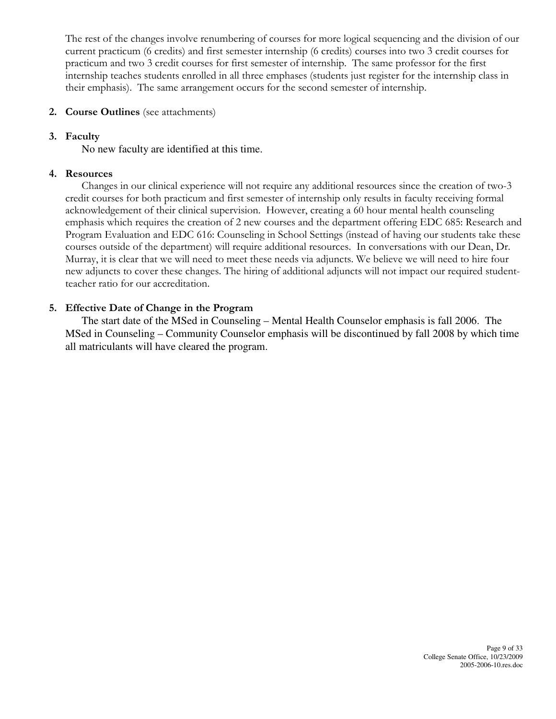The rest of the changes involve renumbering of courses for more logical sequencing and the division of our current practicum (6 credits) and first semester internship (6 credits) courses into two 3 credit courses for practicum and two 3 credit courses for first semester of internship. The same professor for the first internship teaches students enrolled in all three emphases (students just register for the internship class in their emphasis). The same arrangement occurs for the second semester of internship.

#### 2. Course Outlines (see attachments)

#### 3. Faculty

No new faculty are identified at this time.

#### 4. Resources

Changes in our clinical experience will not require any additional resources since the creation of two-3 credit courses for both practicum and first semester of internship only results in faculty receiving formal acknowledgement of their clinical supervision. However, creating a 60 hour mental health counseling emphasis which requires the creation of 2 new courses and the department offering EDC 685: Research and Program Evaluation and EDC 616: Counseling in School Settings (instead of having our students take these courses outside of the department) will require additional resources. In conversations with our Dean, Dr. Murray, it is clear that we will need to meet these needs via adjuncts. We believe we will need to hire four new adjuncts to cover these changes. The hiring of additional adjuncts will not impact our required studentteacher ratio for our accreditation.

# 5. Effective Date of Change in the Program

 The start date of the MSed in Counseling – Mental Health Counselor emphasis is fall 2006. The MSed in Counseling – Community Counselor emphasis will be discontinued by fall 2008 by which time all matriculants will have cleared the program.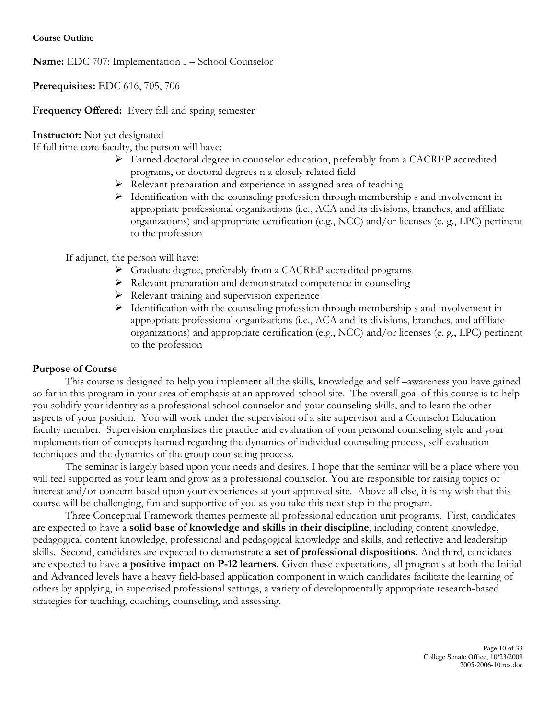Name: EDC 707: Implementation I – School Counselor

Prerequisites: EDC 616, 705, 706

Frequency Offered: Every fall and spring semester

Instructor: Not yet designated

If full time core faculty, the person will have:

- Earned doctoral degree in counselor education, preferably from a CACREP accredited programs, or doctoral degrees n a closely related field
- $\triangleright$  Relevant preparation and experience in assigned area of teaching
- $\triangleright$  Identification with the counseling profession through membership s and involvement in appropriate professional organizations (i.e., ACA and its divisions, branches, and affiliate organizations) and appropriate certification (e.g., NCC) and/or licenses (e. g., LPC) pertinent to the profession

If adjunct, the person will have:

- Graduate degree, preferably from a CACREP accredited programs
- Relevant preparation and demonstrated competence in counseling
- $\triangleright$  Relevant training and supervision experience
- $\triangleright$  Identification with the counseling profession through membership s and involvement in appropriate professional organizations (i.e., ACA and its divisions, branches, and affiliate organizations) and appropriate certification (e.g., NCC) and/or licenses (e. g., LPC) pertinent to the profession

#### Purpose of Course

This course is designed to help you implement all the skills, knowledge and self –awareness you have gained so far in this program in your area of emphasis at an approved school site. The overall goal of this course is to help you solidify your identity as a professional school counselor and your counseling skills, and to learn the other aspects of your position. You will work under the supervision of a site supervisor and a Counselor Education faculty member. Supervision emphasizes the practice and evaluation of your personal counseling style and your implementation of concepts learned regarding the dynamics of individual counseling process, self-evaluation techniques and the dynamics of the group counseling process.

The seminar is largely based upon your needs and desires. I hope that the seminar will be a place where you will feel supported as your learn and grow as a professional counselor. You are responsible for raising topics of interest and/or concern based upon your experiences at your approved site. Above all else, it is my wish that this course will be challenging, fun and supportive of you as you take this next step in the program.

Three Conceptual Framework themes permeate all professional education unit programs. First, candidates are expected to have a solid base of knowledge and skills in their discipline, including content knowledge, pedagogical content knowledge, professional and pedagogical knowledge and skills, and reflective and leadership skills. Second, candidates are expected to demonstrate a set of professional dispositions. And third, candidates are expected to have a positive impact on P-12 learners. Given these expectations, all programs at both the Initial and Advanced levels have a heavy field-based application component in which candidates facilitate the learning of others by applying, in supervised professional settings, a variety of developmentally appropriate research-based strategies for teaching, coaching, counseling, and assessing.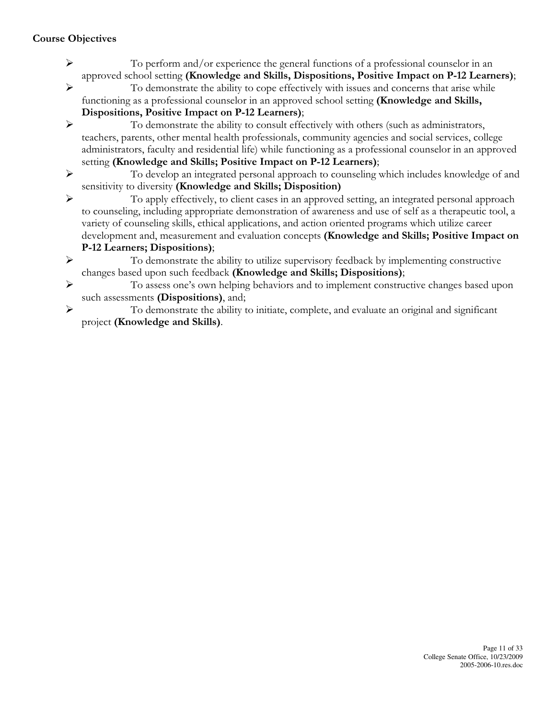- To perform and/or experience the general functions of a professional counselor in an approved school setting (Knowledge and Skills, Dispositions, Positive Impact on P-12 Learners);
- $\triangleright$  To demonstrate the ability to cope effectively with issues and concerns that arise while functioning as a professional counselor in an approved school setting (Knowledge and Skills, Dispositions, Positive Impact on P-12 Learners);
- To demonstrate the ability to consult effectively with others (such as administrators, teachers, parents, other mental health professionals, community agencies and social services, college administrators, faculty and residential life) while functioning as a professional counselor in an approved setting (Knowledge and Skills; Positive Impact on P-12 Learners);
- To develop an integrated personal approach to counseling which includes knowledge of and sensitivity to diversity (Knowledge and Skills; Disposition)
- To apply effectively, to client cases in an approved setting, an integrated personal approach to counseling, including appropriate demonstration of awareness and use of self as a therapeutic tool, a variety of counseling skills, ethical applications, and action oriented programs which utilize career development and, measurement and evaluation concepts (Knowledge and Skills; Positive Impact on P-12 Learners; Dispositions);
- To demonstrate the ability to utilize supervisory feedback by implementing constructive changes based upon such feedback (Knowledge and Skills; Dispositions);
- To assess one's own helping behaviors and to implement constructive changes based upon such assessments (Dispositions), and;
- To demonstrate the ability to initiate, complete, and evaluate an original and significant project (Knowledge and Skills).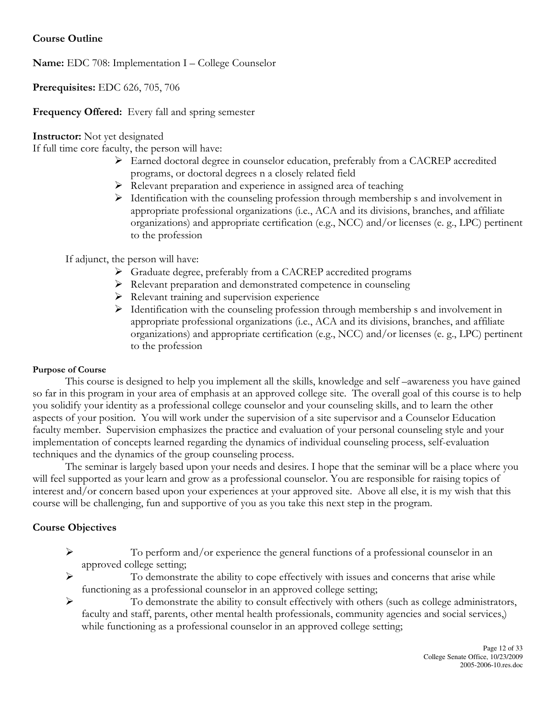# Course Outline

Name: EDC 708: Implementation I – College Counselor

Prerequisites: EDC 626, 705, 706

#### Frequency Offered: Every fall and spring semester

Instructor: Not yet designated

If full time core faculty, the person will have:

- Earned doctoral degree in counselor education, preferably from a CACREP accredited programs, or doctoral degrees n a closely related field
- $\triangleright$  Relevant preparation and experience in assigned area of teaching
- $\triangleright$  Identification with the counseling profession through membership s and involvement in appropriate professional organizations (i.e., ACA and its divisions, branches, and affiliate organizations) and appropriate certification (e.g., NCC) and/or licenses (e. g., LPC) pertinent to the profession

If adjunct, the person will have:

- Graduate degree, preferably from a CACREP accredited programs
- Relevant preparation and demonstrated competence in counseling
- $\triangleright$  Relevant training and supervision experience
- $\triangleright$  Identification with the counseling profession through membership s and involvement in appropriate professional organizations (i.e., ACA and its divisions, branches, and affiliate organizations) and appropriate certification (e.g., NCC) and/or licenses (e. g., LPC) pertinent to the profession

#### Purpose of Course

This course is designed to help you implement all the skills, knowledge and self –awareness you have gained so far in this program in your area of emphasis at an approved college site. The overall goal of this course is to help you solidify your identity as a professional college counselor and your counseling skills, and to learn the other aspects of your position. You will work under the supervision of a site supervisor and a Counselor Education faculty member. Supervision emphasizes the practice and evaluation of your personal counseling style and your implementation of concepts learned regarding the dynamics of individual counseling process, self-evaluation techniques and the dynamics of the group counseling process.

The seminar is largely based upon your needs and desires. I hope that the seminar will be a place where you will feel supported as your learn and grow as a professional counselor. You are responsible for raising topics of interest and/or concern based upon your experiences at your approved site. Above all else, it is my wish that this course will be challenging, fun and supportive of you as you take this next step in the program.

- To perform and/or experience the general functions of a professional counselor in an approved college setting;
- $\triangleright$  To demonstrate the ability to cope effectively with issues and concerns that arise while functioning as a professional counselor in an approved college setting;
- To demonstrate the ability to consult effectively with others (such as college administrators, faculty and staff, parents, other mental health professionals, community agencies and social services,) while functioning as a professional counselor in an approved college setting;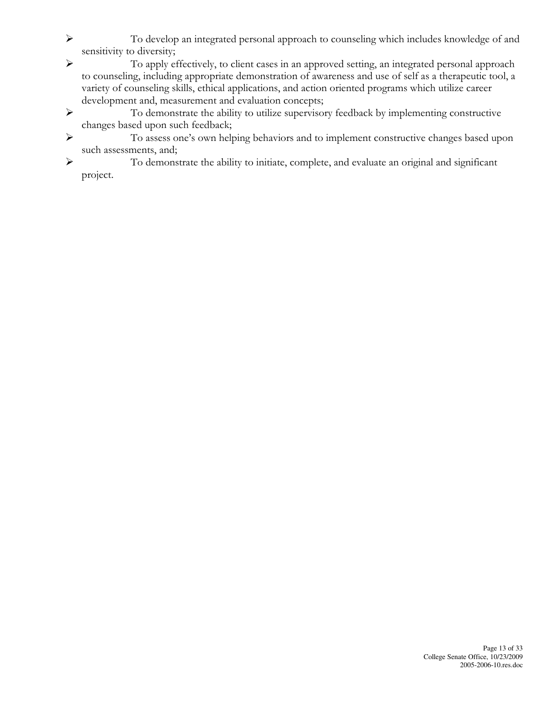- To develop an integrated personal approach to counseling which includes knowledge of and sensitivity to diversity;
- To apply effectively, to client cases in an approved setting, an integrated personal approach to counseling, including appropriate demonstration of awareness and use of self as a therapeutic tool, a variety of counseling skills, ethical applications, and action oriented programs which utilize career development and, measurement and evaluation concepts;
- To demonstrate the ability to utilize supervisory feedback by implementing constructive changes based upon such feedback;
- To assess one's own helping behaviors and to implement constructive changes based upon such assessments, and;
- To demonstrate the ability to initiate, complete, and evaluate an original and significant project.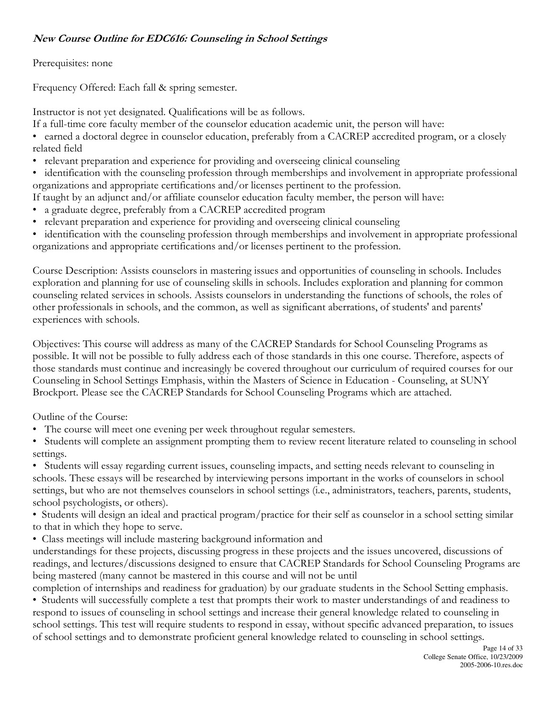# New Course Outline for EDC616: Counseling in School Settings

#### Prerequisites: none

Frequency Offered: Each fall & spring semester.

Instructor is not yet designated. Qualifications will be as follows.

If a full-time core faculty member of the counselor education academic unit, the person will have:

- earned a doctoral degree in counselor education, preferably from a CACREP accredited program, or a closely related field
- relevant preparation and experience for providing and overseeing clinical counseling
- identification with the counseling profession through memberships and involvement in appropriate professional organizations and appropriate certifications and/or licenses pertinent to the profession.
- If taught by an adjunct and/or affiliate counselor education faculty member, the person will have:
- a graduate degree, preferably from a CACREP accredited program
- relevant preparation and experience for providing and overseeing clinical counseling

• identification with the counseling profession through memberships and involvement in appropriate professional organizations and appropriate certifications and/or licenses pertinent to the profession.

Course Description: Assists counselors in mastering issues and opportunities of counseling in schools. Includes exploration and planning for use of counseling skills in schools. Includes exploration and planning for common counseling related services in schools. Assists counselors in understanding the functions of schools, the roles of other professionals in schools, and the common, as well as significant aberrations, of students' and parents' experiences with schools.

Objectives: This course will address as many of the CACREP Standards for School Counseling Programs as possible. It will not be possible to fully address each of those standards in this one course. Therefore, aspects of those standards must continue and increasingly be covered throughout our curriculum of required courses for our Counseling in School Settings Emphasis, within the Masters of Science in Education - Counseling, at SUNY Brockport. Please see the CACREP Standards for School Counseling Programs which are attached.

Outline of the Course:

- The course will meet one evening per week throughout regular semesters.
- Students will complete an assignment prompting them to review recent literature related to counseling in school settings.

• Students will essay regarding current issues, counseling impacts, and setting needs relevant to counseling in schools. These essays will be researched by interviewing persons important in the works of counselors in school settings, but who are not themselves counselors in school settings (i.e., administrators, teachers, parents, students, school psychologists, or others).

• Students will design an ideal and practical program/practice for their self as counselor in a school setting similar to that in which they hope to serve.

• Class meetings will include mastering background information and

understandings for these projects, discussing progress in these projects and the issues uncovered, discussions of readings, and lectures/discussions designed to ensure that CACREP Standards for School Counseling Programs are being mastered (many cannot be mastered in this course and will not be until

completion of internships and readiness for graduation) by our graduate students in the School Setting emphasis. • Students will successfully complete a test that prompts their work to master understandings of and readiness to respond to issues of counseling in school settings and increase their general knowledge related to counseling in school settings. This test will require students to respond in essay, without specific advanced preparation, to issues of school settings and to demonstrate proficient general knowledge related to counseling in school settings.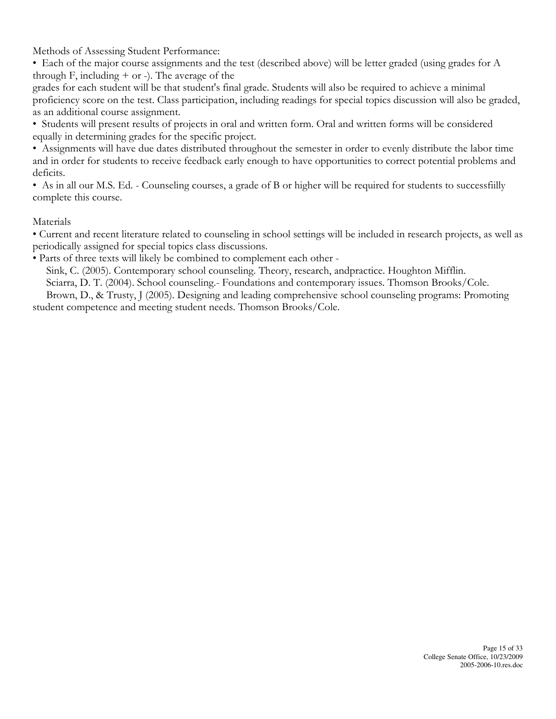Methods of Assessing Student Performance:

• Each of the major course assignments and the test (described above) will be letter graded (using grades for A through  $F$ , including  $+$  or  $-$ ). The average of the

grades for each student will be that student's final grade. Students will also be required to achieve a minimal proficiency score on the test. Class participation, including readings for special topics discussion will also be graded, as an additional course assignment.

• Students will present results of projects in oral and written form. Oral and written forms will be considered equally in determining grades for the specific project.

• Assignments will have due dates distributed throughout the semester in order to evenly distribute the labor time and in order for students to receive feedback early enough to have opportunities to correct potential problems and deficits.

• As in all our M.S. Ed. - Counseling courses, a grade of B or higher will be required for students to successfiilly complete this course.

#### Materials

• Current and recent literature related to counseling in school settings will be included in research projects, as well as periodically assigned for special topics class discussions.

• Parts of three texts will likely be combined to complement each other -

Sink, C. (2005). Contemporary school counseling. Theory, research, andpractice. Houghton Mifflin.

Sciarra, D. T. (2004). School counseling.- Foundations and contemporary issues. Thomson Brooks/Cole.

 Brown, D., & Trusty, J (2005). Designing and leading comprehensive school counseling programs: Promoting student competence and meeting student needs. Thomson Brooks/Cole.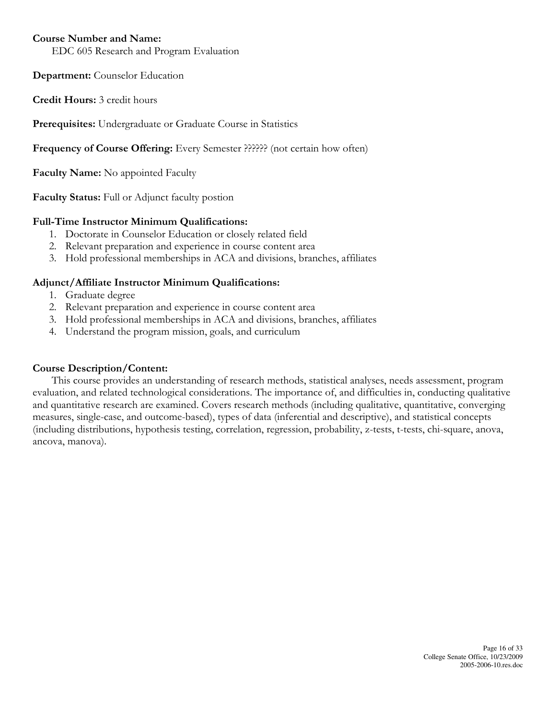#### Course Number and Name:

EDC 605 Research and Program Evaluation

Department: Counselor Education

Credit Hours: 3 credit hours

Prerequisites: Undergraduate or Graduate Course in Statistics

Frequency of Course Offering: Every Semester ?????? (not certain how often)

Faculty Name: No appointed Faculty

Faculty Status: Full or Adjunct faculty postion

#### Full-Time Instructor Minimum Qualifications:

- 1. Doctorate in Counselor Education or closely related field
- 2. Relevant preparation and experience in course content area
- 3. Hold professional memberships in ACA and divisions, branches, affiliates

#### Adjunct/Affiliate Instructor Minimum Qualifications:

- 1. Graduate degree
- 2. Relevant preparation and experience in course content area
- 3. Hold professional memberships in ACA and divisions, branches, affiliates
- 4. Understand the program mission, goals, and curriculum

#### Course Description/Content:

 This course provides an understanding of research methods, statistical analyses, needs assessment, program evaluation, and related technological considerations. The importance of, and difficulties in, conducting qualitative and quantitative research are examined. Covers research methods (including qualitative, quantitative, converging measures, single-case, and outcome-based), types of data (inferential and descriptive), and statistical concepts (including distributions, hypothesis testing, correlation, regression, probability, z-tests, t-tests, chi-square, anova, ancova, manova).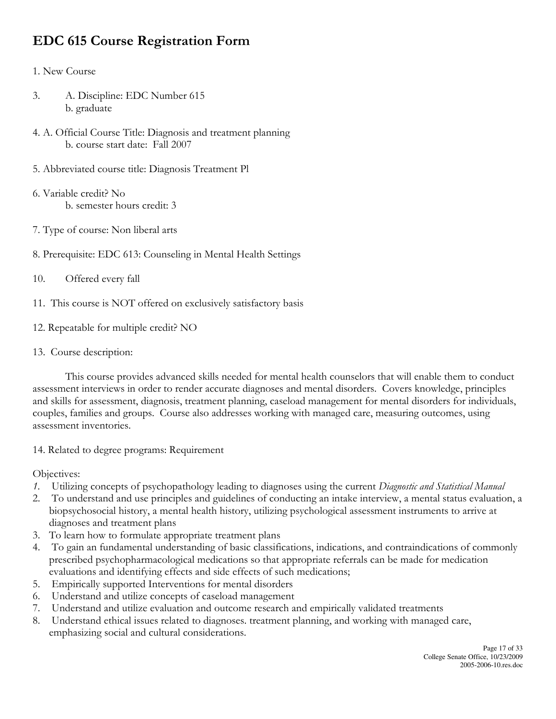# EDC 615 Course Registration Form

#### 1. New Course

- 3. A. Discipline: EDC Number 615 b. graduate
- 4. A. Official Course Title: Diagnosis and treatment planning b. course start date: Fall 2007
- 5. Abbreviated course title: Diagnosis Treatment Pl
- 6. Variable credit? No b. semester hours credit: 3
- 7. Type of course: Non liberal arts
- 8. Prerequisite: EDC 613: Counseling in Mental Health Settings
- 10. Offered every fall
- 11. This course is NOT offered on exclusively satisfactory basis
- 12. Repeatable for multiple credit? NO
- 13. Course description:

 This course provides advanced skills needed for mental health counselors that will enable them to conduct assessment interviews in order to render accurate diagnoses and mental disorders. Covers knowledge, principles and skills for assessment, diagnosis, treatment planning, caseload management for mental disorders for individuals, couples, families and groups. Course also addresses working with managed care, measuring outcomes, using assessment inventories.

14. Related to degree programs: Requirement

Objectives:

- 1. Utilizing concepts of psychopathology leading to diagnoses using the current Diagnostic and Statistical Manual
- 2. To understand and use principles and guidelines of conducting an intake interview, a mental status evaluation, a biopsychosocial history, a mental health history, utilizing psychological assessment instruments to arrive at diagnoses and treatment plans
- 3. To learn how to formulate appropriate treatment plans
- 4. To gain an fundamental understanding of basic classifications, indications, and contraindications of commonly prescribed psychopharmacological medications so that appropriate referrals can be made for medication evaluations and identifying effects and side effects of such medications;
- 5. Empirically supported Interventions for mental disorders
- 6. Understand and utilize concepts of caseload management
- 7. Understand and utilize evaluation and outcome research and empirically validated treatments
- 8. Understand ethical issues related to diagnoses. treatment planning, and working with managed care, emphasizing social and cultural considerations.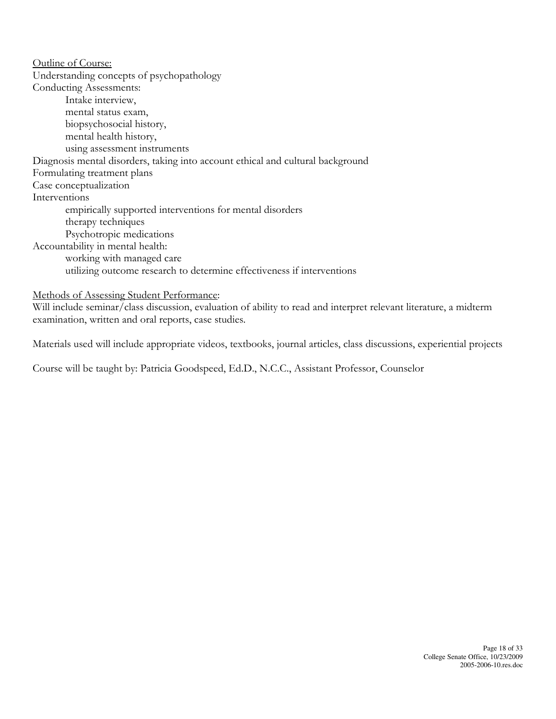Outline of Course: Understanding concepts of psychopathology Conducting Assessments: Intake interview, mental status exam, biopsychosocial history, mental health history, using assessment instruments Diagnosis mental disorders, taking into account ethical and cultural background Formulating treatment plans Case conceptualization Interventions empirically supported interventions for mental disorders therapy techniques Psychotropic medications Accountability in mental health: working with managed care utilizing outcome research to determine effectiveness if interventions

Methods of Assessing Student Performance:

Will include seminar/class discussion, evaluation of ability to read and interpret relevant literature, a midterm examination, written and oral reports, case studies.

Materials used will include appropriate videos, textbooks, journal articles, class discussions, experiential projects

Course will be taught by: Patricia Goodspeed, Ed.D., N.C.C., Assistant Professor, Counselor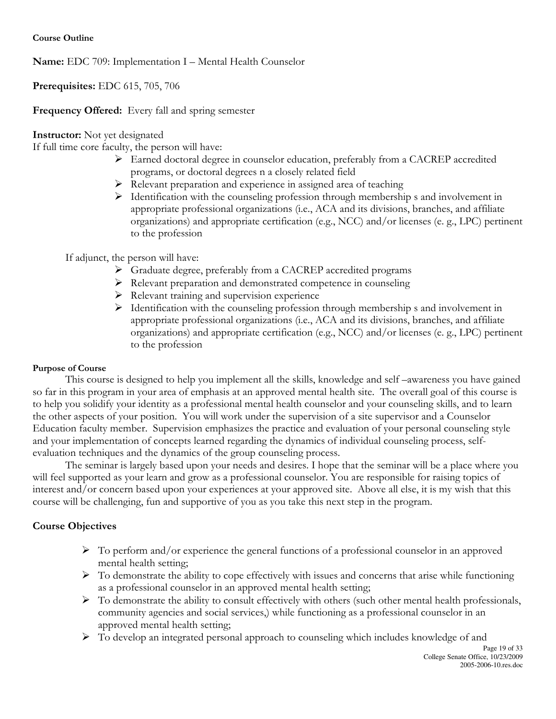Name: EDC 709: Implementation I – Mental Health Counselor

Prerequisites: EDC 615, 705, 706

Frequency Offered: Every fall and spring semester

Instructor: Not yet designated

If full time core faculty, the person will have:

- Earned doctoral degree in counselor education, preferably from a CACREP accredited programs, or doctoral degrees n a closely related field
- Relevant preparation and experience in assigned area of teaching
- $\triangleright$  Identification with the counseling profession through membership s and involvement in appropriate professional organizations (i.e., ACA and its divisions, branches, and affiliate organizations) and appropriate certification (e.g., NCC) and/or licenses (e. g., LPC) pertinent to the profession

If adjunct, the person will have:

- Graduate degree, preferably from a CACREP accredited programs
- Relevant preparation and demonstrated competence in counseling
- $\triangleright$  Relevant training and supervision experience
- $\triangleright$  Identification with the counseling profession through membership s and involvement in appropriate professional organizations (i.e., ACA and its divisions, branches, and affiliate organizations) and appropriate certification (e.g., NCC) and/or licenses (e. g., LPC) pertinent to the profession

# Purpose of Course

This course is designed to help you implement all the skills, knowledge and self –awareness you have gained so far in this program in your area of emphasis at an approved mental health site. The overall goal of this course is to help you solidify your identity as a professional mental health counselor and your counseling skills, and to learn the other aspects of your position. You will work under the supervision of a site supervisor and a Counselor Education faculty member. Supervision emphasizes the practice and evaluation of your personal counseling style and your implementation of concepts learned regarding the dynamics of individual counseling process, selfevaluation techniques and the dynamics of the group counseling process.

The seminar is largely based upon your needs and desires. I hope that the seminar will be a place where you will feel supported as your learn and grow as a professional counselor. You are responsible for raising topics of interest and/or concern based upon your experiences at your approved site. Above all else, it is my wish that this course will be challenging, fun and supportive of you as you take this next step in the program.

- $\triangleright$  To perform and/or experience the general functions of a professional counselor in an approved mental health setting;
- $\triangleright$  To demonstrate the ability to cope effectively with issues and concerns that arise while functioning as a professional counselor in an approved mental health setting;
- $\triangleright$  To demonstrate the ability to consult effectively with others (such other mental health professionals, community agencies and social services,) while functioning as a professional counselor in an approved mental health setting;
- To develop an integrated personal approach to counseling which includes knowledge of and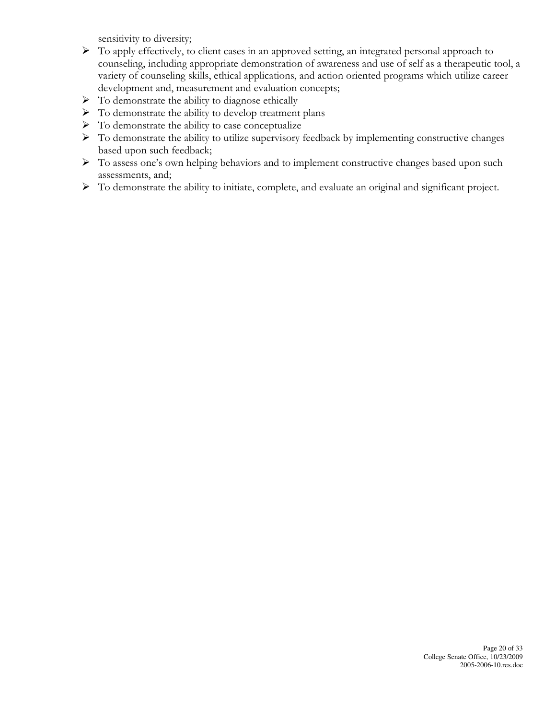sensitivity to diversity;

- $\triangleright$  To apply effectively, to client cases in an approved setting, an integrated personal approach to counseling, including appropriate demonstration of awareness and use of self as a therapeutic tool, a variety of counseling skills, ethical applications, and action oriented programs which utilize career development and, measurement and evaluation concepts;
- $\triangleright$  To demonstrate the ability to diagnose ethically
- $\triangleright$  To demonstrate the ability to develop treatment plans
- $\triangleright$  To demonstrate the ability to case conceptualize
- $\triangleright$  To demonstrate the ability to utilize supervisory feedback by implementing constructive changes based upon such feedback;
- $\triangleright$  To assess one's own helping behaviors and to implement constructive changes based upon such assessments, and;
- To demonstrate the ability to initiate, complete, and evaluate an original and significant project.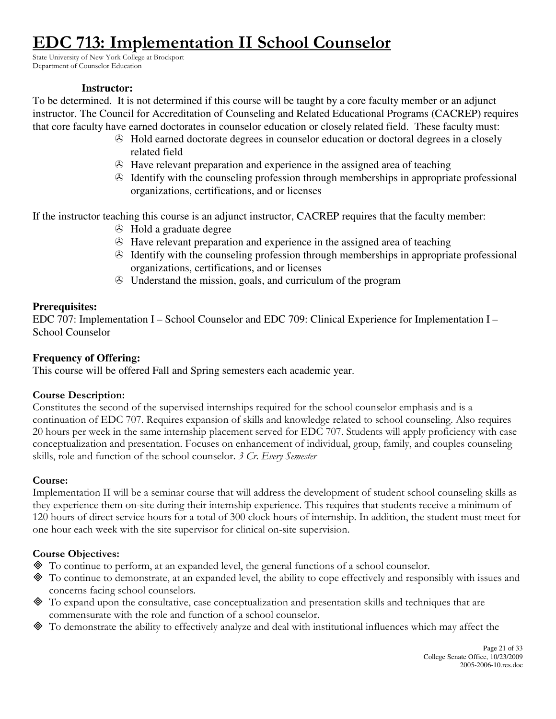# **C 713: Implementation II School Counselor**

State University of New York College at Brockport Department of Counselor Education

#### **Instructor:**

To be determined. It is not determined if this course will be taught by a core faculty member or an adjunct instructor. The Council for Accreditation of Counseling and Related Educational Programs (CACREP) requires that core faculty have earned doctorates in counselor education or closely related field. These faculty must:

- Hold earned doctorate degrees in counselor education or doctoral degrees in a closely related field
- Have relevant preparation and experience in the assigned area of teaching
- $\odot$  Identify with the counseling profession through memberships in appropriate professional organizations, certifications, and or licenses

If the instructor teaching this course is an adjunct instructor, CACREP requires that the faculty member:

- $\odot$  Hold a graduate degree
- Have relevant preparation and experience in the assigned area of teaching
- $\odot$  Identify with the counseling profession through memberships in appropriate professional organizations, certifications, and or licenses
- Understand the mission, goals, and curriculum of the program

# **Prerequisites:**

EDC 707: Implementation I – School Counselor and EDC 709: Clinical Experience for Implementation I – School Counselor

# **Frequency of Offering:**

This course will be offered Fall and Spring semesters each academic year.

# Course Description:

Constitutes the second of the supervised internships required for the school counselor emphasis and is a continuation of EDC 707. Requires expansion of skills and knowledge related to school counseling. Also requires 20 hours per week in the same internship placement served for EDC 707. Students will apply proficiency with case conceptualization and presentation. Focuses on enhancement of individual, group, family, and couples counseling skills, role and function of the school counselor. 3 Cr. Every Semester

# Course:

Implementation II will be a seminar course that will address the development of student school counseling skills as they experience them on-site during their internship experience. This requires that students receive a minimum of 120 hours of direct service hours for a total of 300 clock hours of internship. In addition, the student must meet for one hour each week with the site supervisor for clinical on-site supervision.

- To continue to perform, at an expanded level, the general functions of a school counselor.
- To continue to demonstrate, at an expanded level, the ability to cope effectively and responsibly with issues and concerns facing school counselors.
- To expand upon the consultative, case conceptualization and presentation skills and techniques that are commensurate with the role and function of a school counselor.
- To demonstrate the ability to effectively analyze and deal with institutional influences which may affect the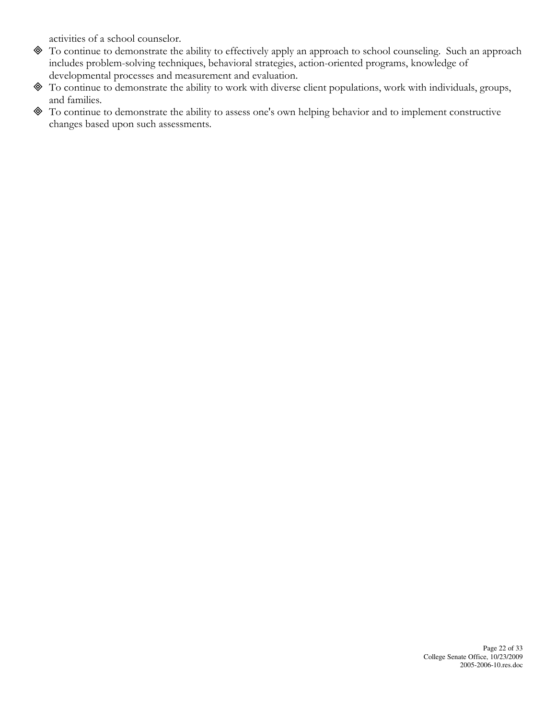activities of a school counselor.

- To continue to demonstrate the ability to effectively apply an approach to school counseling. Such an approach includes problem-solving techniques, behavioral strategies, action-oriented programs, knowledge of developmental processes and measurement and evaluation.
- To continue to demonstrate the ability to work with diverse client populations, work with individuals, groups, and families.
- To continue to demonstrate the ability to assess one's own helping behavior and to implement constructive changes based upon such assessments.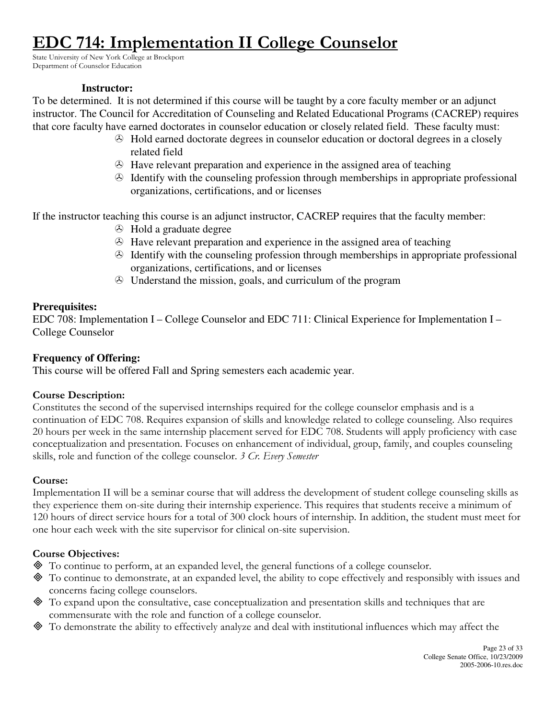# **C 714: Implementation II College Counselor**

State University of New York College at Brockport Department of Counselor Education

#### **Instructor:**

To be determined. It is not determined if this course will be taught by a core faculty member or an adjunct instructor. The Council for Accreditation of Counseling and Related Educational Programs (CACREP) requires that core faculty have earned doctorates in counselor education or closely related field. These faculty must:

- Hold earned doctorate degrees in counselor education or doctoral degrees in a closely related field
- Have relevant preparation and experience in the assigned area of teaching
- $\odot$  Identify with the counseling profession through memberships in appropriate professional organizations, certifications, and or licenses

If the instructor teaching this course is an adjunct instructor, CACREP requires that the faculty member:

- $\odot$  Hold a graduate degree
- Have relevant preparation and experience in the assigned area of teaching
- $\odot$  Identify with the counseling profession through memberships in appropriate professional organizations, certifications, and or licenses
- Understand the mission, goals, and curriculum of the program

# **Prerequisites:**

EDC 708: Implementation I – College Counselor and EDC 711: Clinical Experience for Implementation I – College Counselor

# **Frequency of Offering:**

This course will be offered Fall and Spring semesters each academic year.

# Course Description:

Constitutes the second of the supervised internships required for the college counselor emphasis and is a continuation of EDC 708. Requires expansion of skills and knowledge related to college counseling. Also requires 20 hours per week in the same internship placement served for EDC 708. Students will apply proficiency with case conceptualization and presentation. Focuses on enhancement of individual, group, family, and couples counseling skills, role and function of the college counselor. 3 Cr. Every Semester

# Course:

Implementation II will be a seminar course that will address the development of student college counseling skills as they experience them on-site during their internship experience. This requires that students receive a minimum of 120 hours of direct service hours for a total of 300 clock hours of internship. In addition, the student must meet for one hour each week with the site supervisor for clinical on-site supervision.

- To continue to perform, at an expanded level, the general functions of a college counselor.
- To continue to demonstrate, at an expanded level, the ability to cope effectively and responsibly with issues and concerns facing college counselors.
- To expand upon the consultative, case conceptualization and presentation skills and techniques that are commensurate with the role and function of a college counselor.
- To demonstrate the ability to effectively analyze and deal with institutional influences which may affect the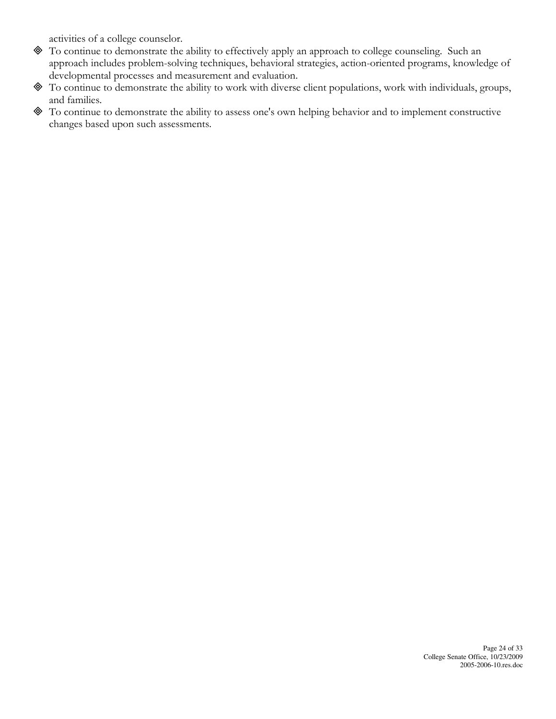activities of a college counselor.

- To continue to demonstrate the ability to effectively apply an approach to college counseling. Such an approach includes problem-solving techniques, behavioral strategies, action-oriented programs, knowledge of developmental processes and measurement and evaluation.
- To continue to demonstrate the ability to work with diverse client populations, work with individuals, groups, and families.
- To continue to demonstrate the ability to assess one's own helping behavior and to implement constructive changes based upon such assessments.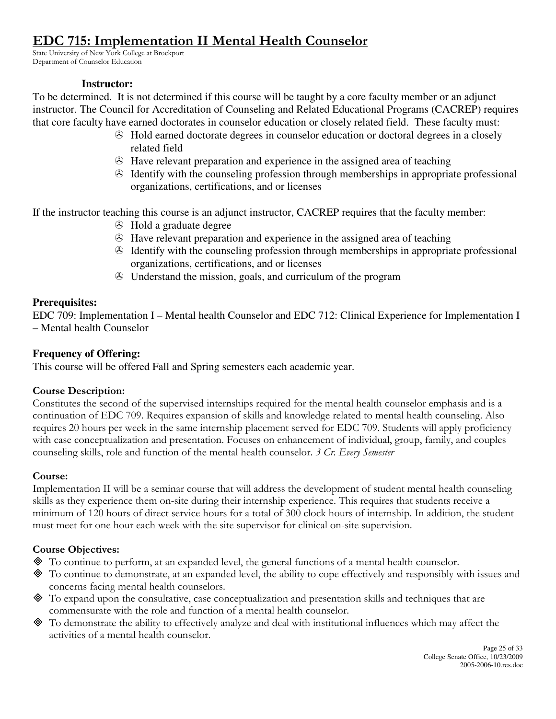# EDC 715: Implementation II Mental Health Counselor

State University of New York College at Brockport Department of Counselor Education

#### **Instructor:**

To be determined. It is not determined if this course will be taught by a core faculty member or an adjunct instructor. The Council for Accreditation of Counseling and Related Educational Programs (CACREP) requires that core faculty have earned doctorates in counselor education or closely related field. These faculty must:

- Hold earned doctorate degrees in counselor education or doctoral degrees in a closely related field
- Have relevant preparation and experience in the assigned area of teaching
- $\odot$  Identify with the counseling profession through memberships in appropriate professional organizations, certifications, and or licenses

If the instructor teaching this course is an adjunct instructor, CACREP requires that the faculty member:

- $\odot$  Hold a graduate degree
- Have relevant preparation and experience in the assigned area of teaching
- $\odot$  Identify with the counseling profession through memberships in appropriate professional organizations, certifications, and or licenses
- Understand the mission, goals, and curriculum of the program

# **Prerequisites:**

EDC 709: Implementation I – Mental health Counselor and EDC 712: Clinical Experience for Implementation I – Mental health Counselor

# **Frequency of Offering:**

This course will be offered Fall and Spring semesters each academic year.

# Course Description:

Constitutes the second of the supervised internships required for the mental health counselor emphasis and is a continuation of EDC 709. Requires expansion of skills and knowledge related to mental health counseling. Also requires 20 hours per week in the same internship placement served for EDC 709. Students will apply proficiency with case conceptualization and presentation. Focuses on enhancement of individual, group, family, and couples counseling skills, role and function of the mental health counselor. 3 Cr. Every Semester

# Course:

Implementation II will be a seminar course that will address the development of student mental health counseling skills as they experience them on-site during their internship experience. This requires that students receive a minimum of 120 hours of direct service hours for a total of 300 clock hours of internship. In addition, the student must meet for one hour each week with the site supervisor for clinical on-site supervision.

- To continue to perform, at an expanded level, the general functions of a mental health counselor.
- To continue to demonstrate, at an expanded level, the ability to cope effectively and responsibly with issues and concerns facing mental health counselors.
- To expand upon the consultative, case conceptualization and presentation skills and techniques that are commensurate with the role and function of a mental health counselor.
- To demonstrate the ability to effectively analyze and deal with institutional influences which may affect the activities of a mental health counselor.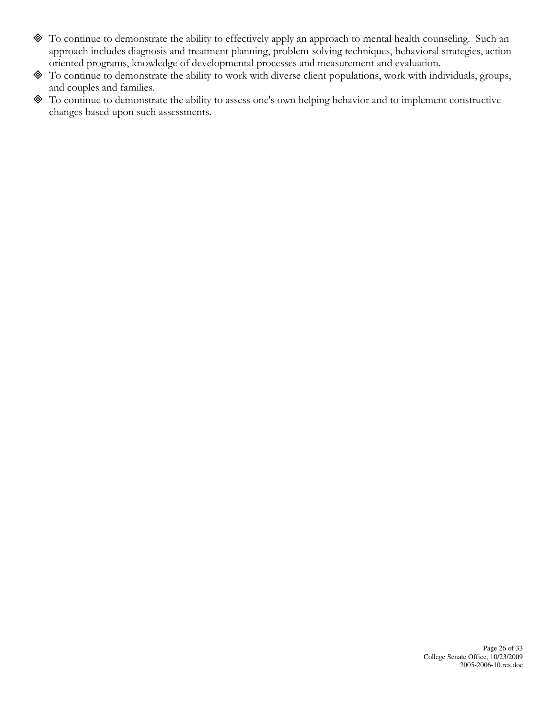- To continue to demonstrate the ability to effectively apply an approach to mental health counseling. Such an approach includes diagnosis and treatment planning, problem-solving techniques, behavioral strategies, actionoriented programs, knowledge of developmental processes and measurement and evaluation.
- To continue to demonstrate the ability to work with diverse client populations, work with individuals, groups, and couples and families.
- To continue to demonstrate the ability to assess one's own helping behavior and to implement constructive changes based upon such assessments.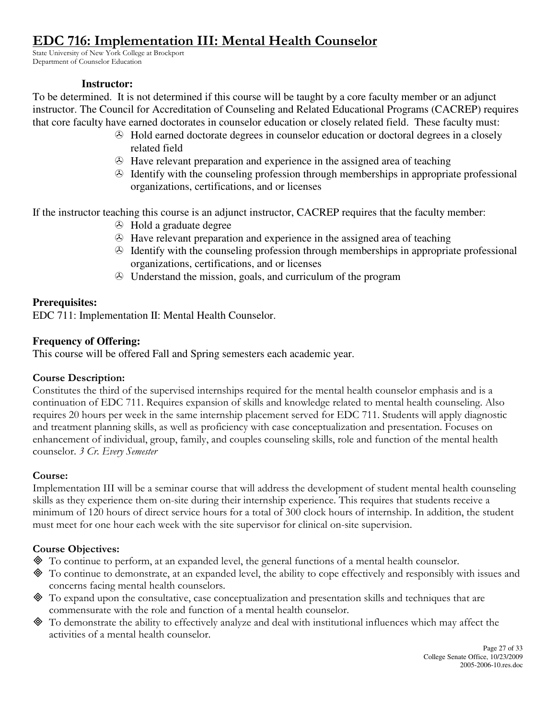# EDC 716: Implementation III: Mental Health Counselor

State University of New York College at Brockport Department of Counselor Education

#### **Instructor:**

To be determined. It is not determined if this course will be taught by a core faculty member or an adjunct instructor. The Council for Accreditation of Counseling and Related Educational Programs (CACREP) requires that core faculty have earned doctorates in counselor education or closely related field. These faculty must:

- Hold earned doctorate degrees in counselor education or doctoral degrees in a closely related field
- Have relevant preparation and experience in the assigned area of teaching
- $\odot$  Identify with the counseling profession through memberships in appropriate professional organizations, certifications, and or licenses

If the instructor teaching this course is an adjunct instructor, CACREP requires that the faculty member:

- $\odot$  Hold a graduate degree
- Have relevant preparation and experience in the assigned area of teaching
- $\odot$  Identify with the counseling profession through memberships in appropriate professional organizations, certifications, and or licenses
- Understand the mission, goals, and curriculum of the program

# **Prerequisites:**

EDC 711: Implementation II: Mental Health Counselor.

# **Frequency of Offering:**

This course will be offered Fall and Spring semesters each academic year.

# Course Description:

Constitutes the third of the supervised internships required for the mental health counselor emphasis and is a continuation of EDC 711. Requires expansion of skills and knowledge related to mental health counseling. Also requires 20 hours per week in the same internship placement served for EDC 711. Students will apply diagnostic and treatment planning skills, as well as proficiency with case conceptualization and presentation. Focuses on enhancement of individual, group, family, and couples counseling skills, role and function of the mental health counselor. 3 Cr. Every Semester

# Course:

Implementation III will be a seminar course that will address the development of student mental health counseling skills as they experience them on-site during their internship experience. This requires that students receive a minimum of 120 hours of direct service hours for a total of 300 clock hours of internship. In addition, the student must meet for one hour each week with the site supervisor for clinical on-site supervision.

- To continue to perform, at an expanded level, the general functions of a mental health counselor.
- To continue to demonstrate, at an expanded level, the ability to cope effectively and responsibly with issues and concerns facing mental health counselors.
- To expand upon the consultative, case conceptualization and presentation skills and techniques that are commensurate with the role and function of a mental health counselor.
- To demonstrate the ability to effectively analyze and deal with institutional influences which may affect the activities of a mental health counselor.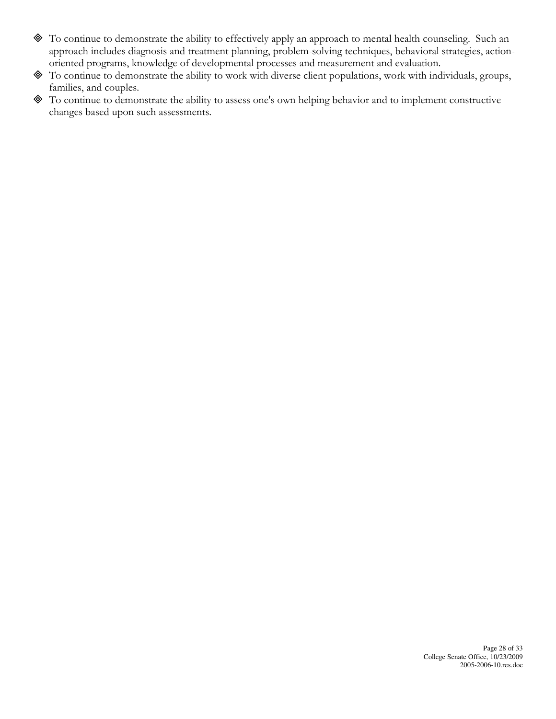- To continue to demonstrate the ability to effectively apply an approach to mental health counseling. Such an approach includes diagnosis and treatment planning, problem-solving techniques, behavioral strategies, actionoriented programs, knowledge of developmental processes and measurement and evaluation.
- To continue to demonstrate the ability to work with diverse client populations, work with individuals, groups, families, and couples.
- To continue to demonstrate the ability to assess one's own helping behavior and to implement constructive changes based upon such assessments.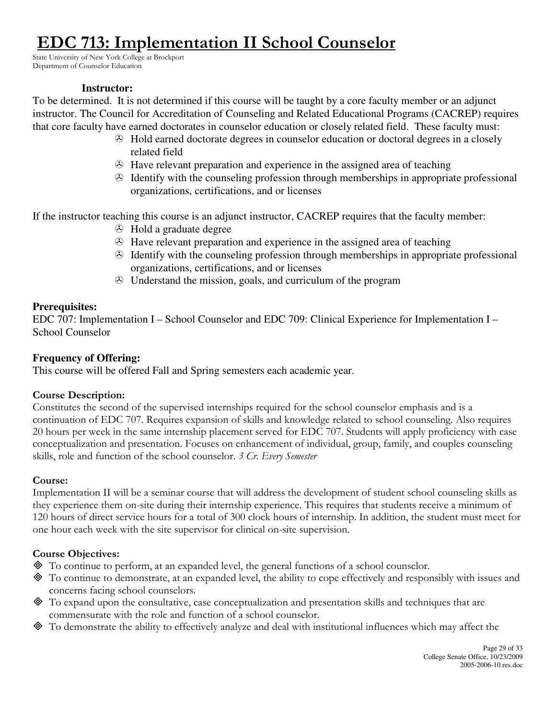# **DC 713: Implementation II School Counselor**

State University of New York College at Brockport Department of Counselor Education

#### **Instructor:**

To be determined. It is not determined if this course will be taught by a core faculty member or an adjunct instructor. The Council for Accreditation of Counseling and Related Educational Programs (CACREP) requires that core faculty have earned doctorates in counselor education or closely related field. These faculty must:

- Hold earned doctorate degrees in counselor education or doctoral degrees in a closely related field
- Have relevant preparation and experience in the assigned area of teaching
- $\odot$  Identify with the counseling profession through memberships in appropriate professional organizations, certifications, and or licenses

If the instructor teaching this course is an adjunct instructor, CACREP requires that the faculty member:

- $\odot$  Hold a graduate degree
- Have relevant preparation and experience in the assigned area of teaching
- $\odot$  Identify with the counseling profession through memberships in appropriate professional organizations, certifications, and or licenses
- Understand the mission, goals, and curriculum of the program

# **Prerequisites:**

EDC 707: Implementation I – School Counselor and EDC 709: Clinical Experience for Implementation I – School Counselor

# **Frequency of Offering:**

This course will be offered Fall and Spring semesters each academic year.

# Course Description:

Constitutes the second of the supervised internships required for the school counselor emphasis and is a continuation of EDC 707. Requires expansion of skills and knowledge related to school counseling. Also requires 20 hours per week in the same internship placement served for EDC 707. Students will apply proficiency with case conceptualization and presentation. Focuses on enhancement of individual, group, family, and couples counseling skills, role and function of the school counselor. 3 Cr. Every Semester

# Course:

Implementation II will be a seminar course that will address the development of student school counseling skills as they experience them on-site during their internship experience. This requires that students receive a minimum of 120 hours of direct service hours for a total of 300 clock hours of internship. In addition, the student must meet for one hour each week with the site supervisor for clinical on-site supervision.

- To continue to perform, at an expanded level, the general functions of a school counselor.
- To continue to demonstrate, at an expanded level, the ability to cope effectively and responsibly with issues and concerns facing school counselors.
- To expand upon the consultative, case conceptualization and presentation skills and techniques that are commensurate with the role and function of a school counselor.
- To demonstrate the ability to effectively analyze and deal with institutional influences which may affect the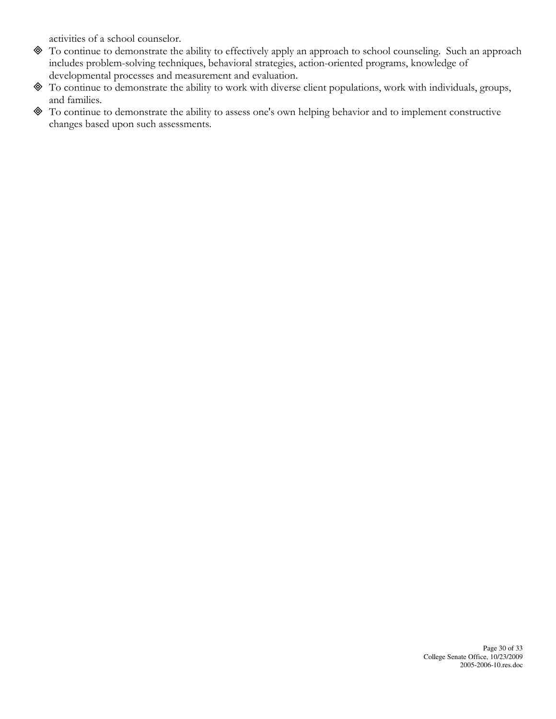activities of a school counselor.

- To continue to demonstrate the ability to effectively apply an approach to school counseling. Such an approach includes problem-solving techniques, behavioral strategies, action-oriented programs, knowledge of developmental processes and measurement and evaluation.
- To continue to demonstrate the ability to work with diverse client populations, work with individuals, groups, and families.
- To continue to demonstrate the ability to assess one's own helping behavior and to implement constructive changes based upon such assessments.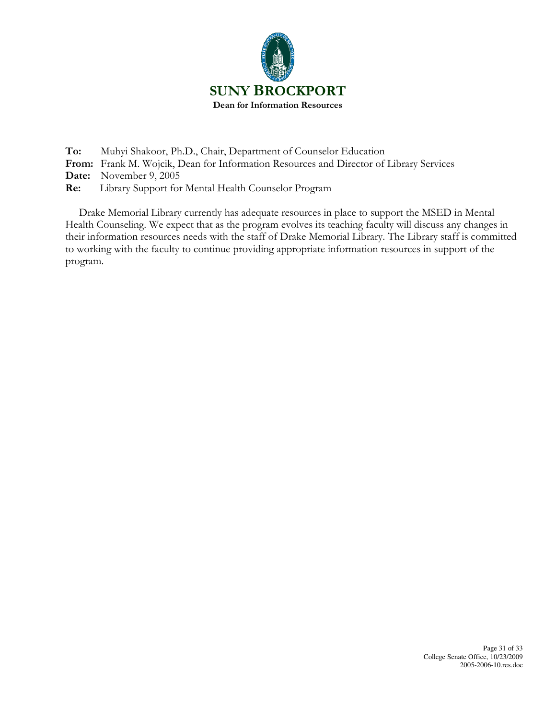

To: Muhyi Shakoor, Ph.D., Chair, Department of Counselor Education From: Frank M. Wojcik, Dean for Information Resources and Director of Library Services Date: November 9, 2005

Re: Library Support for Mental Health Counselor Program

 Drake Memorial Library currently has adequate resources in place to support the MSED in Mental Health Counseling. We expect that as the program evolves its teaching faculty will discuss any changes in their information resources needs with the staff of Drake Memorial Library. The Library staff is committed to working with the faculty to continue providing appropriate information resources in support of the program.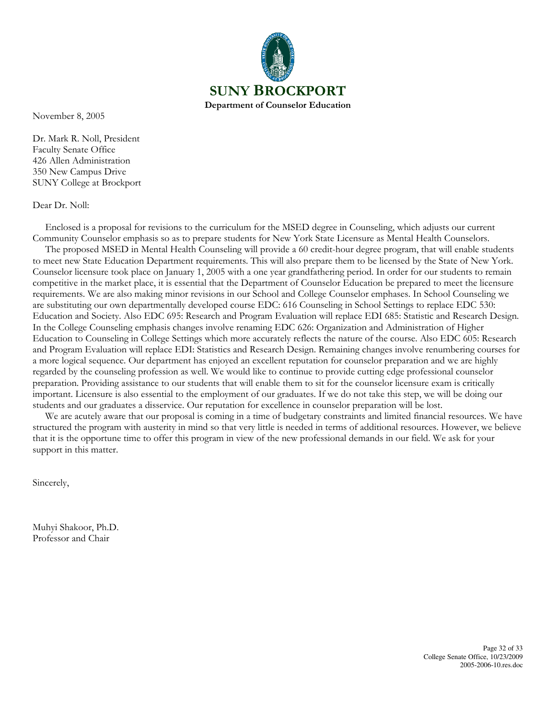

November 8, 2005

Dr. Mark R. Noll, President Faculty Senate Office 426 Allen Administration 350 New Campus Drive SUNY College at Brockport

#### Dear Dr. Noll:

 Enclosed is a proposal for revisions to the curriculum for the MSED degree in Counseling, which adjusts our current Community Counselor emphasis so as to prepare students for New York State Licensure as Mental Health Counselors. The proposed MSED in Mental Health Counseling will provide a 60 credit-hour degree program, that will enable students to meet new State Education Department requirements. This will also prepare them to be licensed by the State of New York.

Counselor licensure took place on January 1, 2005 with a one year grandfathering period. In order for our students to remain competitive in the market place, it is essential that the Department of Counselor Education be prepared to meet the licensure requirements. We are also making minor revisions in our School and College Counselor emphases. In School Counseling we are substituting our own departmentally developed course EDC: 616 Counseling in School Settings to replace EDC 530: Education and Society. Also EDC 695: Research and Program Evaluation will replace EDI 685: Statistic and Research Design. In the College Counseling emphasis changes involve renaming EDC 626: Organization and Administration of Higher Education to Counseling in College Settings which more accurately reflects the nature of the course. Also EDC 605: Research and Program Evaluation will replace EDI: Statistics and Research Design. Remaining changes involve renumbering courses for a more logical sequence. Our department has enjoyed an excellent reputation for counselor preparation and we are highly regarded by the counseling profession as well. We would like to continue to provide cutting edge professional counselor preparation. Providing assistance to our students that will enable them to sit for the counselor licensure exam is critically important. Licensure is also essential to the employment of our graduates. If we do not take this step, we will be doing our students and our graduates a disservice. Our reputation for excellence in counselor preparation will be lost.

 We are acutely aware that our proposal is coming in a time of budgetary constraints and limited financial resources. We have structured the program with austerity in mind so that very little is needed in terms of additional resources. However, we believe that it is the opportune time to offer this program in view of the new professional demands in our field. We ask for your support in this matter.

Sincerely,

Muhyi Shakoor, Ph.D. Professor and Chair